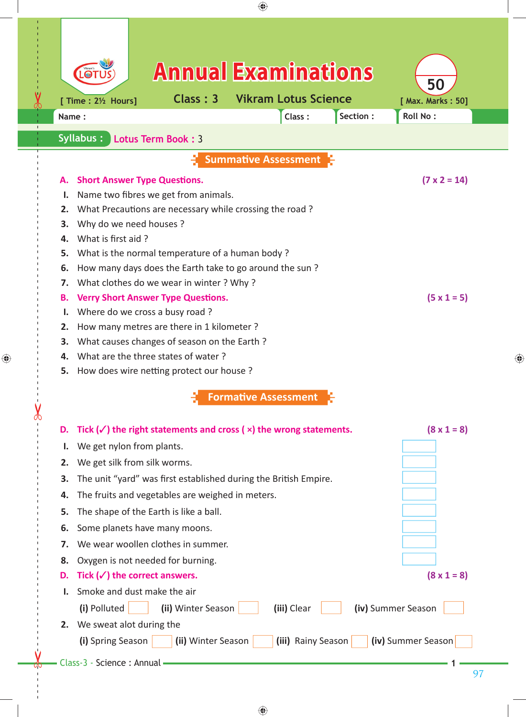|    |                                                                 |                                                  | <b>Annual Examinations</b>                                                            |          |                         |
|----|-----------------------------------------------------------------|--------------------------------------------------|---------------------------------------------------------------------------------------|----------|-------------------------|
|    | [ Time : 21/2 Hours]                                            | Class: 3                                         | <b>Vikram Lotus Science</b>                                                           |          | 50<br>[ Max. Marks: 50] |
|    | Name:                                                           |                                                  | Class:                                                                                | Section: | Roll No:                |
|    | Syllabus:                                                       | <b>Lotus Term Book: 3</b>                        |                                                                                       |          |                         |
|    |                                                                 |                                                  | <b>Summative Assessment</b>                                                           |          |                         |
| А. | <b>Short Answer Type Questions.</b>                             |                                                  |                                                                                       |          | $(7 \times 2 = 14)$     |
| ι. |                                                                 | Name two fibres we get from animals.             |                                                                                       |          |                         |
| 2. |                                                                 |                                                  | What Precautions are necessary while crossing the road?                               |          |                         |
| 3. | Why do we need houses ?                                         |                                                  |                                                                                       |          |                         |
| 4. | What is first aid?                                              |                                                  |                                                                                       |          |                         |
| 5. |                                                                 | What is the normal temperature of a human body?  |                                                                                       |          |                         |
| 6. |                                                                 |                                                  | How many days does the Earth take to go around the sun?                               |          |                         |
| 7. |                                                                 | What clothes do we wear in winter? Why?          |                                                                                       |          |                         |
| В. | $(5 \times 1 = 5)$<br><b>Verry Short Answer Type Questions.</b> |                                                  |                                                                                       |          |                         |
| ı. |                                                                 | Where do we cross a busy road?                   |                                                                                       |          |                         |
| 2. |                                                                 | How many metres are there in 1 kilometer ?       |                                                                                       |          |                         |
| 3. |                                                                 | What causes changes of season on the Earth?      |                                                                                       |          |                         |
| 4. |                                                                 | What are the three states of water?              |                                                                                       |          |                         |
| 5. |                                                                 | How does wire netting protect our house?         |                                                                                       |          |                         |
|    |                                                                 |                                                  | <b>Formative Assessment</b>                                                           |          |                         |
| D. |                                                                 |                                                  | Tick $(\checkmark)$ the right statements and cross ( $\times$ ) the wrong statements. |          | $(8 \times 1 = 8)$      |
| ı. | We get nylon from plants.                                       |                                                  |                                                                                       |          |                         |
| 2. | We get silk from silk worms.                                    |                                                  |                                                                                       |          |                         |
| 3. |                                                                 |                                                  | The unit "yard" was first established during the British Empire.                      |          |                         |
| 4. |                                                                 | The fruits and vegetables are weighed in meters. |                                                                                       |          |                         |
| 5. |                                                                 | The shape of the Earth is like a ball.           |                                                                                       |          |                         |
| 6. |                                                                 | Some planets have many moons.                    |                                                                                       |          |                         |
| 7. |                                                                 | We wear woollen clothes in summer.               |                                                                                       |          |                         |
| 8. |                                                                 | Oxygen is not needed for burning.                |                                                                                       |          |                         |
| D. | Tick $(\checkmark)$ the correct answers.                        |                                                  |                                                                                       |          | $(8 \times 1 = 8)$      |
|    | Smoke and dust make the air                                     |                                                  |                                                                                       |          |                         |
|    | (i) Polluted                                                    | (ii) Winter Season                               | (iii) Clear                                                                           |          | (iv) Summer Season      |
| 2. | We sweat alot during the                                        |                                                  |                                                                                       |          |                         |
|    | (i) Spring Season                                               | (ii) Winter Season                               | (iii) Rainy Season                                                                    |          | (iv) Summer Season      |
|    |                                                                 |                                                  |                                                                                       |          |                         |

 $\bigoplus$ 

 $\bigoplus$